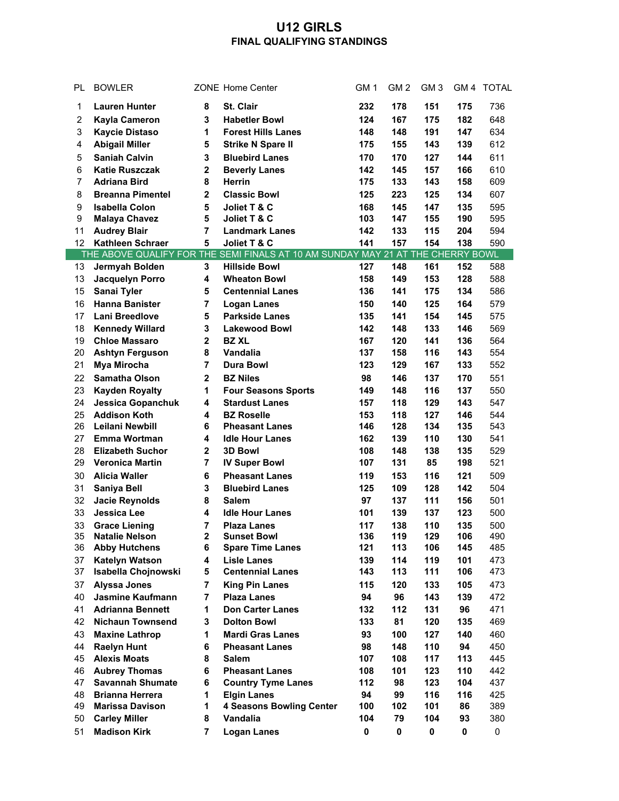## **U12 GIRLS FINAL QUALIFYING STANDINGS**

| PL              | <b>BOWLER</b>            |                | <b>ZONE Home Center</b>                                                         | GM <sub>1</sub> | GM <sub>2</sub> | GM <sub>3</sub> | GM <sub>4</sub> | <b>TOTAL</b> |
|-----------------|--------------------------|----------------|---------------------------------------------------------------------------------|-----------------|-----------------|-----------------|-----------------|--------------|
| 1               | <b>Lauren Hunter</b>     | 8              | St. Clair                                                                       | 232             | 178             | 151             | 175             | 736          |
| $\overline{c}$  | <b>Kayla Cameron</b>     | 3              | <b>Habetler Bowl</b>                                                            | 124             | 167             | 175             | 182             | 648          |
| 3               | <b>Kaycie Distaso</b>    | 1              | <b>Forest Hills Lanes</b>                                                       | 148             | 148             | 191             | 147             | 634          |
| 4               | <b>Abigail Miller</b>    | 5              | <b>Strike N Spare II</b>                                                        | 175             | 155             | 143             | 139             | 612          |
| 5               | <b>Saniah Calvin</b>     | 3              | <b>Bluebird Lanes</b>                                                           | 170             | 170             | 127             | 144             | 611          |
| 6               | <b>Katie Ruszczak</b>    | $\mathbf{2}$   | <b>Beverly Lanes</b>                                                            | 142             | 145             | 157             | 166             | 610          |
| 7               | <b>Adriana Bird</b>      | 8              | Herrin                                                                          | 175             | 133             | 143             | 158             | 609          |
| 8               | <b>Breanna Pimentel</b>  | $\mathbf{2}$   | <b>Classic Bowl</b>                                                             | 125             | 223             | 125             | 134             | 607          |
| 9               | <b>Isabella Colon</b>    | 5              | Joliet T & C                                                                    | 168             | 145             | 147             | 135             | 595          |
| 9               | <b>Malaya Chavez</b>     | 5              | Joliet T & C                                                                    | 103             | 147             | 155             | 190             | 595          |
| 11              | <b>Audrey Blair</b>      | 7              | <b>Landmark Lanes</b>                                                           | 142             | 133             | 115             | 204             | 594          |
| 12              | Kathleen Schraer         | 5              | Joliet T & C                                                                    | 141             | 157             | 154             | 138             | 590          |
|                 |                          |                | THE ABOVE QUALIFY FOR THE SEMI FINALS AT 10 AM SUNDAY MAY 21 AT THE CHERRY BOWL |                 |                 |                 |                 |              |
| 13              | Jermyah Bolden           | 3              | <b>Hillside Bowl</b>                                                            | 127             | 148             | 161             | 152             | 588          |
| 13              | Jacquelyn Porro          | 4              | <b>Wheaton Bowl</b>                                                             | 158             | 149             | 153             | 128             | 588          |
| 15              | Sanai Tyler              | 5              | <b>Centennial Lanes</b>                                                         | 136             | 141             | 175             | 134             | 586          |
| 16              | <b>Hanna Banister</b>    | $\overline{7}$ | <b>Logan Lanes</b>                                                              | 150             | 140             | 125             | 164             | 579          |
| 17              | <b>Lani Breedlove</b>    | 5              | <b>Parkside Lanes</b>                                                           | 135             | 141             | 154             | 145             | 575          |
| 18              | <b>Kennedy Willard</b>   | 3              | <b>Lakewood Bowl</b>                                                            | 142             | 148             | 133             | 146             | 569          |
| 19              | <b>Chloe Massaro</b>     | $\mathbf{2}$   | <b>BZ XL</b>                                                                    | 167             | 120             | 141             | 136             | 564          |
| 20              | <b>Ashtyn Ferguson</b>   | 8              | Vandalia                                                                        | 137             | 158             | 116             | 143             | 554          |
| 21              | Mya Mirocha              | 7              | <b>Dura Bowl</b>                                                                | 123             | 129             | 167             | 133             | 552          |
| 22              | <b>Samatha Olson</b>     | $\mathbf 2$    | <b>BZ Niles</b>                                                                 | 98              | 146             | 137             | 170             | 551          |
| 23              | <b>Kayden Royalty</b>    | 1              | <b>Four Seasons Sports</b>                                                      | 149             | 148             | 116             | 137             | 550          |
| 24              | <b>Jessica Gopanchuk</b> | 4              | <b>Stardust Lanes</b>                                                           | 157             | 118             | 129             | 143             | 547          |
| 25              | <b>Addison Koth</b>      | 4              | <b>BZ Roselle</b>                                                               | 153             | 118             | 127             | 146             | 544          |
| 26              | Leilani Newbill          | 6              | <b>Pheasant Lanes</b>                                                           | 146             | 128             | 134             | 135             | 543          |
| 27              | Emma Wortman             | 4              | <b>Idle Hour Lanes</b>                                                          | 162             | 139             | 110             | 130             | 541          |
| 28              | <b>Elizabeth Suchor</b>  | $\mathbf 2$    | <b>3D Bowl</b>                                                                  | 108             | 148             | 138             | 135             | 529          |
| 29              | <b>Veronica Martin</b>   | $\overline{7}$ | <b>IV Super Bowl</b>                                                            | 107             | 131             | 85              | 198             | 521          |
| 30              | <b>Alicia Waller</b>     | 6              | <b>Pheasant Lanes</b>                                                           | 119             | 153             | 116             | 121             | 509          |
| 31              | Saniya Bell              | 3              | <b>Bluebird Lanes</b>                                                           | 125             | 109             | 128             | 142             | 504          |
| 32              | <b>Jacie Reynolds</b>    | 8              | <b>Salem</b>                                                                    | 97              | 137             | 111             | 156             | 501          |
| 33              | <b>Jessica Lee</b>       | 4              | <b>Idle Hour Lanes</b>                                                          | 101             | 139             | 137             | 123             | 500          |
| 33              | <b>Grace Liening</b>     | $\overline{7}$ | <b>Plaza Lanes</b>                                                              | 117             | 138             | 110             | 135             | 500          |
| 35 <sub>o</sub> | <b>Natalie Nelson</b>    | 2              | <b>Sunset Bowl</b>                                                              | 136             | 119             | 129             | 106             | 490          |
| 36              | <b>Abby Hutchens</b>     | 6              | <b>Spare Time Lanes</b>                                                         | 121             | 113             | 106             | 145             | 485          |
| 37              | <b>Katelyn Watson</b>    | 4              | <b>Lisle Lanes</b>                                                              | 139             | 114             | 119             | 101             | 473          |
| 37              | Isabella Chojnowski      | 5              | <b>Centennial Lanes</b>                                                         | 143             | 113             | 111             | 106             | 473          |
| 37              | <b>Alyssa Jones</b>      | $\overline{7}$ | <b>King Pin Lanes</b>                                                           | 115             | 120             | 133             | 105             | 473          |
| 40              | <b>Jasmine Kaufmann</b>  | $\overline{7}$ | <b>Plaza Lanes</b>                                                              | 94              | 96              | 143             | 139             | 472          |
| 41              | <b>Adrianna Bennett</b>  | 1              | <b>Don Carter Lanes</b>                                                         | 132             | 112             | 131             | 96              | 471          |
| 42              | <b>Nichaun Townsend</b>  | 3              | <b>Dolton Bowl</b>                                                              | 133             | 81              | 120             | 135             | 469          |
| 43              | <b>Maxine Lathrop</b>    | 1              | <b>Mardi Gras Lanes</b>                                                         | 93              | 100             | 127             | 140             | 460          |
| 44              | <b>Raelyn Hunt</b>       | 6              | <b>Pheasant Lanes</b>                                                           | 98              | 148             | 110             | 94              | 450          |
| 45              | <b>Alexis Moats</b>      | 8              | <b>Salem</b>                                                                    | 107             | 108             | 117             | 113             | 445          |
| 46              | <b>Aubrey Thomas</b>     | 6              | <b>Pheasant Lanes</b>                                                           | 108             | 101             | 123             | 110             | 442          |
| 47              | <b>Savannah Shumate</b>  | 6              | <b>Country Tyme Lanes</b>                                                       | 112             | 98              | 123             | 104             | 437          |
| 48              | <b>Brianna Herrera</b>   | 1              | <b>Elgin Lanes</b>                                                              | 94              | 99              | 116             | 116             | 425          |
| 49              | <b>Marissa Davison</b>   | 1              | <b>4 Seasons Bowling Center</b>                                                 | 100             | 102             | 101             | 86              | 389          |
| 50              | <b>Carley Miller</b>     | 8              | Vandalia                                                                        | 104             | 79              | 104             | 93              | 380          |
| 51              | <b>Madison Kirk</b>      | $\overline{7}$ | <b>Logan Lanes</b>                                                              | $\pmb{0}$       | 0               | 0               | 0               | $\pmb{0}$    |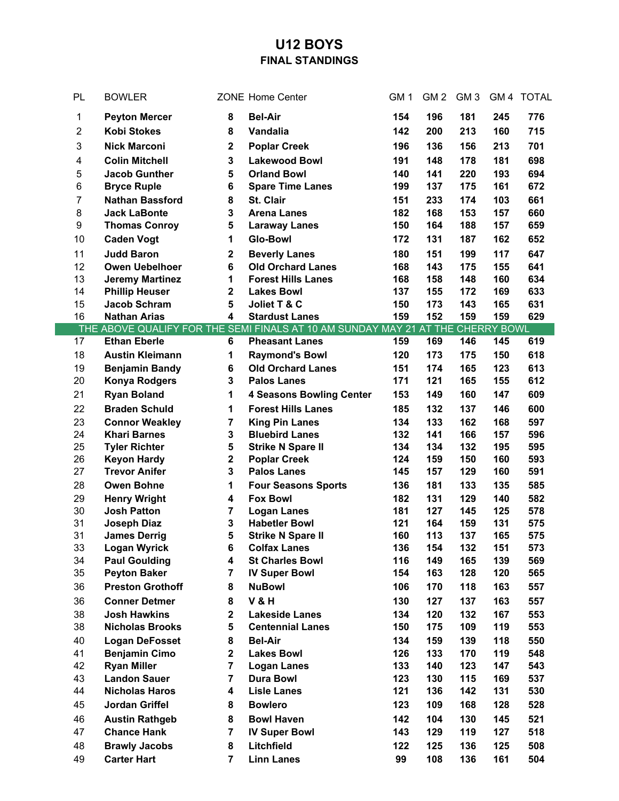## **U12 BOYS FINAL STANDINGS**

| PL             | <b>BOWLER</b>                              |                         | <b>ZONE Home Center</b>                                                         | GM <sub>1</sub> | GM <sub>2</sub> | GM <sub>3</sub> | GM <sub>4</sub> | <b>TOTAL</b> |
|----------------|--------------------------------------------|-------------------------|---------------------------------------------------------------------------------|-----------------|-----------------|-----------------|-----------------|--------------|
| 1              | <b>Peyton Mercer</b>                       | 8                       | <b>Bel-Air</b>                                                                  | 154             | 196             | 181             | 245             | 776          |
| $\overline{c}$ | <b>Kobi Stokes</b>                         | 8                       | Vandalia                                                                        | 142             | 200             | 213             | 160             | 715          |
| 3              | <b>Nick Marconi</b>                        | $\mathbf 2$             | <b>Poplar Creek</b>                                                             | 196             | 136             | 156             | 213             | 701          |
| 4              | <b>Colin Mitchell</b>                      | 3                       | <b>Lakewood Bowl</b>                                                            | 191             | 148             | 178             | 181             | 698          |
| 5              | <b>Jacob Gunther</b>                       | 5                       | <b>Orland Bowl</b>                                                              | 140             | 141             | 220             | 193             | 694          |
| 6              | <b>Bryce Ruple</b>                         | 6                       | <b>Spare Time Lanes</b>                                                         | 199             | 137             | 175             | 161             | 672          |
| $\overline{7}$ | <b>Nathan Bassford</b>                     | 8                       | St. Clair                                                                       | 151             | 233             | 174             | 103             | 661          |
| 8              | <b>Jack LaBonte</b>                        | 3                       | <b>Arena Lanes</b>                                                              | 182             | 168             | 153             | 157             | 660          |
| 9              | <b>Thomas Conroy</b>                       | 5                       | <b>Laraway Lanes</b>                                                            | 150             | 164             | 188             | 157             | 659          |
| 10             | <b>Caden Vogt</b>                          | 1                       | <b>Glo-Bowl</b>                                                                 | 172             | 131             | 187             | 162             | 652          |
| 11             | <b>Judd Baron</b>                          | $\mathbf 2$             | <b>Beverly Lanes</b>                                                            | 180             | 151             | 199             | 117             | 647          |
| 12             | <b>Owen Uebelhoer</b>                      | 6                       | <b>Old Orchard Lanes</b>                                                        | 168             | 143             | 175             | 155             | 641          |
| 13             | <b>Jeremy Martinez</b>                     | 1                       | <b>Forest Hills Lanes</b>                                                       | 168             | 158             | 148             | 160             | 634          |
| 14             | <b>Phillip Heuser</b>                      | 2                       | <b>Lakes Bowl</b>                                                               | 137             | 155             | 172             | 169             | 633          |
| 15             | <b>Jacob Schram</b>                        | 5                       | Joliet T & C                                                                    | 150             | 173             | 143             | 165             | 631          |
| 16             | <b>Nathan Arias</b>                        | 4                       | <b>Stardust Lanes</b>                                                           | 159             | 152             | 159             | 159             | 629          |
|                |                                            |                         | THE ABOVE QUALIFY FOR THE SEMI FINALS AT 10 AM SUNDAY MAY 21 AT THE CHERRY BOWL |                 |                 |                 |                 |              |
| 17             | <b>Ethan Eberle</b>                        | 6                       | <b>Pheasant Lanes</b>                                                           | 159             | 169             | 146             | 145             | 619          |
| 18             | <b>Austin Kleimann</b>                     | 1                       | <b>Raymond's Bowl</b>                                                           | 120             | 173             | 175             | 150             | 618          |
| 19             | <b>Benjamin Bandy</b>                      | 6                       | <b>Old Orchard Lanes</b>                                                        | 151             | 174             | 165             | 123             | 613          |
| 20             | <b>Konya Rodgers</b>                       | 3                       | <b>Palos Lanes</b>                                                              | 171             | 121             | 165             | 155             | 612          |
| 21             | <b>Ryan Boland</b>                         | 1                       | <b>4 Seasons Bowling Center</b>                                                 | 153             | 149             | 160             | 147             | 609          |
| 22             | <b>Braden Schuld</b>                       | 1                       | <b>Forest Hills Lanes</b>                                                       | 185             | 132             | 137             | 146             | 600          |
| 23             | <b>Connor Weakley</b>                      | $\overline{7}$          | <b>King Pin Lanes</b>                                                           | 134             | 133             | 162             | 168             | 597          |
| 24             | <b>Khari Barnes</b>                        | 3                       | <b>Bluebird Lanes</b>                                                           | 132             | 141             | 166             | 157             | 596          |
| 25             | <b>Tyler Richter</b>                       | 5                       | <b>Strike N Spare II</b>                                                        | 134             | 134             | 132             | 195             | 595          |
| 26             | <b>Keyon Hardy</b>                         | $\mathbf 2$             | <b>Poplar Creek</b>                                                             | 124             | 159             | 150             | 160             | 593          |
| 27             | <b>Trevor Anifer</b>                       | 3                       | <b>Palos Lanes</b>                                                              | 145             | 157             | 129             | 160             | 591          |
| 28             | <b>Owen Bohne</b>                          | 1                       | <b>Four Seasons Sports</b>                                                      | 136             | 181             | 133             | 135             | 585          |
| 29             | <b>Henry Wright</b>                        | 4                       | <b>Fox Bowl</b>                                                                 | 182             | 131             | 129             | 140             | 582          |
| 30             | <b>Josh Patton</b>                         | 7                       | <b>Logan Lanes</b>                                                              | 181             | 127             | 145             | 125             | 578          |
| 31<br>31       | <b>Joseph Diaz</b>                         | 3<br>5                  | <b>Habetler Bowl</b><br><b>Strike N Spare II</b>                                | 121<br>160      | 164<br>113      | 159<br>137      | 131<br>165      | 575<br>575   |
| 33             | <b>James Derrig</b><br><b>Logan Wyrick</b> | 6                       | <b>Colfax Lanes</b>                                                             | 136             | 154             | 132             | 151             | 573          |
| 34             | <b>Paul Goulding</b>                       | 4                       | <b>St Charles Bowl</b>                                                          | 116             | 149             | 165             | 139             | 569          |
| 35             | <b>Peyton Baker</b>                        | $\overline{7}$          | <b>IV Super Bowl</b>                                                            | 154             | 163             | 128             | 120             | 565          |
| 36             | <b>Preston Grothoff</b>                    | 8                       | <b>NuBowl</b>                                                                   | 106             | 170             | 118             | 163             | 557          |
| 36             | <b>Conner Detmer</b>                       | 8                       | <b>V&amp;H</b>                                                                  | 130             | 127             | 137             | 163             | 557          |
| 38             | <b>Josh Hawkins</b>                        | $\overline{\mathbf{2}}$ | <b>Lakeside Lanes</b>                                                           | 134             | 120             | 132             | 167             | 553          |
| 38             | <b>Nicholas Brooks</b>                     | 5                       | <b>Centennial Lanes</b>                                                         | 150             | 175             | 109             | 119             | 553          |
| 40             | <b>Logan DeFosset</b>                      | 8                       | <b>Bel-Air</b>                                                                  | 134             | 159             | 139             | 118             | 550          |
| 41             | <b>Benjamin Cimo</b>                       | $\overline{\mathbf{2}}$ | <b>Lakes Bowl</b>                                                               | 126             | 133             | 170             | 119             | 548          |
| 42             | <b>Ryan Miller</b>                         | $\overline{7}$          | <b>Logan Lanes</b>                                                              | 133             | 140             | 123             | 147             | 543          |
| 43             | <b>Landon Sauer</b>                        | $\overline{7}$          | <b>Dura Bowl</b>                                                                | 123             | 130             | 115             | 169             | 537          |
| 44             | <b>Nicholas Haros</b>                      | 4                       | <b>Lisle Lanes</b>                                                              | 121             | 136             | 142             | 131             | 530          |
| 45             | Jordan Griffel                             | 8                       | <b>Bowlero</b>                                                                  | 123             | 109             | 168             | 128             | 528          |
| 46             | <b>Austin Rathgeb</b>                      | 8                       | <b>Bowl Haven</b>                                                               | 142             | 104             | 130             | 145             | 521          |
| 47             | <b>Chance Hank</b>                         | $\overline{7}$          | <b>IV Super Bowl</b>                                                            | 143             | 129             | 119             | 127             | 518          |
| 48             | <b>Brawly Jacobs</b>                       | 8                       | Litchfield                                                                      | 122             | 125             | 136             | 125             | 508          |
| 49             | <b>Carter Hart</b>                         | $\overline{7}$          | <b>Linn Lanes</b>                                                               | 99              | 108             | 136             | 161             | 504          |
|                |                                            |                         |                                                                                 |                 |                 |                 |                 |              |